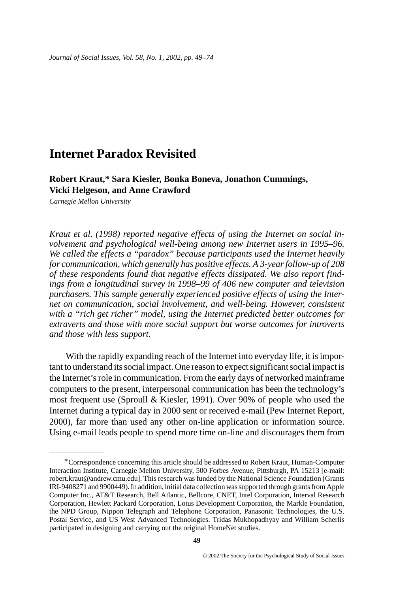# **Robert Kraut,\* Sara Kiesler, Bonka Boneva, Jonathon Cummings, Vicki Helgeson, and Anne Crawford**

*Carnegie Mellon University*

*Kraut et al. (1998) reported negative effects of using the Internet on social involvement and psychological well-being among new Internet users in 1995–96. We called the effects a "paradox" because participants used the Internet heavily for communication, which generally has positive effects. A 3-year follow-up of 208 of these respondents found that negative effects dissipated. We also report findings from a longitudinal survey in 1998–99 of 406 new computer and television purchasers. This sample generally experienced positive effects of using the Internet on communication, social involvement, and well-being. However, consistent with a "rich get richer" model, using the Internet predicted better outcomes for extraverts and those with more social support but worse outcomes for introverts and those with less support.*

With the rapidly expanding reach of the Internet into everyday life, it is important to understand its social impact. One reason to expect significant social impact is the Internet's role in communication. From the early days of networked mainframe computers to the present, interpersonal communication has been the technology's most frequent use (Sproull & Kiesler, 1991). Over 90% of people who used the Internet during a typical day in 2000 sent or received e-mail (Pew Internet Report, 2000), far more than used any other on-line application or information source. Using e-mail leads people to spend more time on-line and discourages them from

<sup>∗</sup>Correspondence concerning this article should be addressed to Robert Kraut, Human-Computer Interaction Institute, Carnegie Mellon University, 500 Forbes Avenue, Pittsburgh, PA 15213 [e-mail: robert.kraut@andrew.cmu.edu]. This research was funded by the National Science Foundation (Grants IRI-9408271 and 9900449). In addition, initial data collection was supported through grants from Apple Computer Inc., AT&T Research, Bell Atlantic, Bellcore, CNET, Intel Corporation, Interval Research Corporation, Hewlett Packard Corporation, Lotus Development Corporation, the Markle Foundation, the NPD Group, Nippon Telegraph and Telephone Corporation, Panasonic Technologies, the U.S. Postal Service, and US West Advanced Technologies. Tridas Mukhopadhyay and William Scherlis participated in designing and carrying out the original HomeNet studies.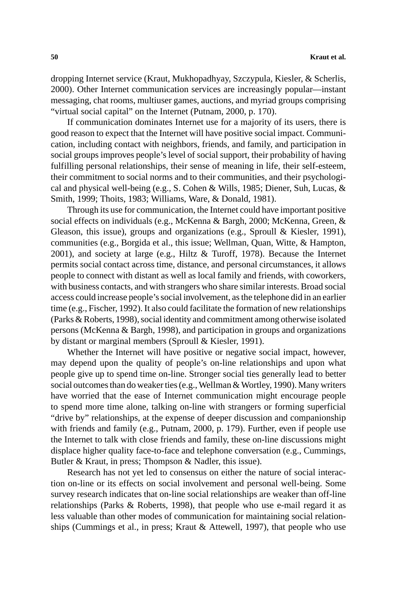dropping Internet service (Kraut, Mukhopadhyay, Szczypula, Kiesler, & Scherlis, 2000). Other Internet communication services are increasingly popular—instant messaging, chat rooms, multiuser games, auctions, and myriad groups comprising "virtual social capital" on the Internet (Putnam, 2000, p. 170).

If communication dominates Internet use for a majority of its users, there is good reason to expect that the Internet will have positive social impact. Communication, including contact with neighbors, friends, and family, and participation in social groups improves people's level of social support, their probability of having fulfilling personal relationships, their sense of meaning in life, their self-esteem, their commitment to social norms and to their communities, and their psychological and physical well-being (e.g., S. Cohen & Wills, 1985; Diener, Suh, Lucas, & Smith, 1999; Thoits, 1983; Williams, Ware, & Donald, 1981).

Through its use for communication, the Internet could have important positive social effects on individuals (e.g., McKenna & Bargh, 2000; McKenna, Green, & Gleason, this issue), groups and organizations (e.g., Sproull & Kiesler, 1991), communities (e.g., Borgida et al., this issue; Wellman, Quan, Witte, & Hampton, 2001), and society at large (e.g., Hiltz & Turoff, 1978). Because the Internet permits social contact across time, distance, and personal circumstances, it allows people to connect with distant as well as local family and friends, with coworkers, with business contacts, and with strangers who share similar interests. Broad social access could increase people's social involvement, as the telephone did in an earlier time (e.g., Fischer, 1992). It also could facilitate the formation of new relationships (Parks & Roberts, 1998), social identity and commitment among otherwise isolated persons (McKenna & Bargh, 1998), and participation in groups and organizations by distant or marginal members (Sproull & Kiesler, 1991).

Whether the Internet will have positive or negative social impact, however, may depend upon the quality of people's on-line relationships and upon what people give up to spend time on-line. Stronger social ties generally lead to better social outcomes than do weaker ties (e.g., Wellman & Wortley, 1990). Many writers have worried that the ease of Internet communication might encourage people to spend more time alone, talking on-line with strangers or forming superficial "drive by" relationships, at the expense of deeper discussion and companionship with friends and family (e.g., Putnam, 2000, p. 179). Further, even if people use the Internet to talk with close friends and family, these on-line discussions might displace higher quality face-to-face and telephone conversation (e.g., Cummings, Butler & Kraut, in press; Thompson & Nadler, this issue).

Research has not yet led to consensus on either the nature of social interaction on-line or its effects on social involvement and personal well-being. Some survey research indicates that on-line social relationships are weaker than off-line relationships (Parks & Roberts, 1998), that people who use e-mail regard it as less valuable than other modes of communication for maintaining social relationships (Cummings et al., in press; Kraut & Attewell, 1997), that people who use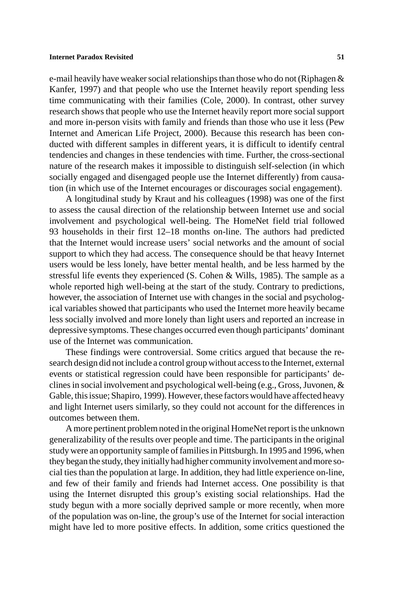e-mail heavily have weaker social relationships than those who do not (Riphagen & Kanfer, 1997) and that people who use the Internet heavily report spending less time communicating with their families (Cole, 2000). In contrast, other survey research shows that people who use the Internet heavily report more social support and more in-person visits with family and friends than those who use it less (Pew Internet and American Life Project, 2000). Because this research has been conducted with different samples in different years, it is difficult to identify central tendencies and changes in these tendencies with time. Further, the cross-sectional nature of the research makes it impossible to distinguish self-selection (in which socially engaged and disengaged people use the Internet differently) from causation (in which use of the Internet encourages or discourages social engagement).

A longitudinal study by Kraut and his colleagues (1998) was one of the first to assess the causal direction of the relationship between Internet use and social involvement and psychological well-being. The HomeNet field trial followed 93 households in their first 12–18 months on-line. The authors had predicted that the Internet would increase users' social networks and the amount of social support to which they had access. The consequence should be that heavy Internet users would be less lonely, have better mental health, and be less harmed by the stressful life events they experienced (S. Cohen & Wills, 1985). The sample as a whole reported high well-being at the start of the study. Contrary to predictions, however, the association of Internet use with changes in the social and psychological variables showed that participants who used the Internet more heavily became less socially involved and more lonely than light users and reported an increase in depressive symptoms. These changes occurred even though participants' dominant use of the Internet was communication.

These findings were controversial. Some critics argued that because the research design did not include a control group without access to the Internet, external events or statistical regression could have been responsible for participants' declines in social involvement and psychological well-being (e.g., Gross, Juvonen, & Gable, this issue; Shapiro, 1999). However, these factors would have affected heavy and light Internet users similarly, so they could not account for the differences in outcomes between them.

A more pertinent problem noted in the original HomeNet report is the unknown generalizability of the results over people and time. The participants in the original study were an opportunity sample of families in Pittsburgh. In 1995 and 1996, when they began the study, they initially had higher community involvement and more social ties than the population at large. In addition, they had little experience on-line, and few of their family and friends had Internet access. One possibility is that using the Internet disrupted this group's existing social relationships. Had the study begun with a more socially deprived sample or more recently, when more of the population was on-line, the group's use of the Internet for social interaction might have led to more positive effects. In addition, some critics questioned the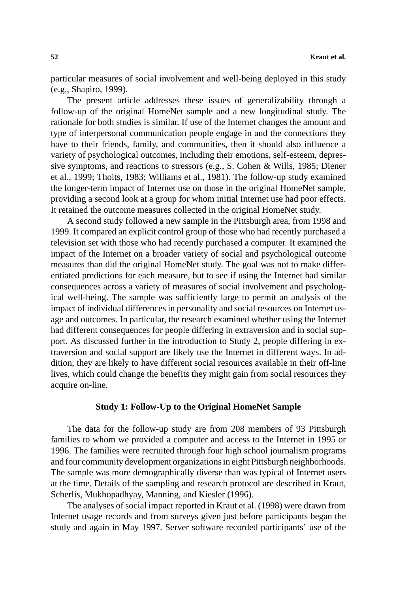particular measures of social involvement and well-being deployed in this study (e.g., Shapiro, 1999).

The present article addresses these issues of generalizability through a follow-up of the original HomeNet sample and a new longitudinal study. The rationale for both studies is similar. If use of the Internet changes the amount and type of interpersonal communication people engage in and the connections they have to their friends, family, and communities, then it should also influence a variety of psychological outcomes, including their emotions, self-esteem, depressive symptoms, and reactions to stressors (e.g., S. Cohen & Wills, 1985; Diener et al., 1999; Thoits, 1983; Williams et al., 1981). The follow-up study examined the longer-term impact of Internet use on those in the original HomeNet sample, providing a second look at a group for whom initial Internet use had poor effects. It retained the outcome measures collected in the original HomeNet study.

A second study followed a new sample in the Pittsburgh area, from 1998 and 1999. It compared an explicit control group of those who had recently purchased a television set with those who had recently purchased a computer. It examined the impact of the Internet on a broader variety of social and psychological outcome measures than did the original HomeNet study. The goal was not to make differentiated predictions for each measure, but to see if using the Internet had similar consequences across a variety of measures of social involvement and psychological well-being. The sample was sufficiently large to permit an analysis of the impact of individual differences in personality and social resources on Internet usage and outcomes. In particular, the research examined whether using the Internet had different consequences for people differing in extraversion and in social support. As discussed further in the introduction to Study 2, people differing in extraversion and social support are likely use the Internet in different ways. In addition, they are likely to have different social resources available in their off-line lives, which could change the benefits they might gain from social resources they acquire on-line.

# **Study 1: Follow-Up to the Original HomeNet Sample**

The data for the follow-up study are from 208 members of 93 Pittsburgh families to whom we provided a computer and access to the Internet in 1995 or 1996. The families were recruited through four high school journalism programs and four community development organizations in eight Pittsburgh neighborhoods. The sample was more demographically diverse than was typical of Internet users at the time. Details of the sampling and research protocol are described in Kraut, Scherlis, Mukhopadhyay, Manning, and Kiesler (1996).

The analyses of social impact reported in Kraut et al. (1998) were drawn from Internet usage records and from surveys given just before participants began the study and again in May 1997. Server software recorded participants' use of the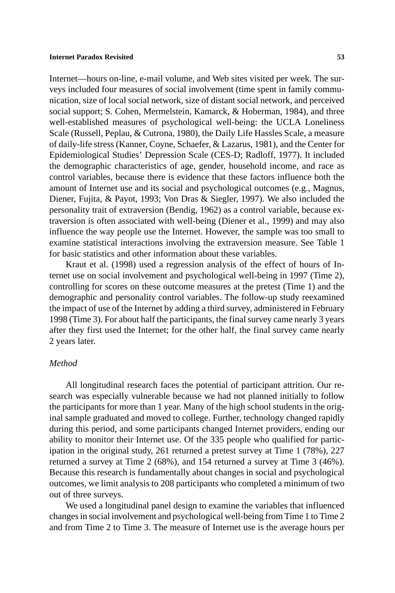Internet—hours on-line, e-mail volume, and Web sites visited per week. The surveys included four measures of social involvement (time spent in family communication, size of local social network, size of distant social network, and perceived social support; S. Cohen, Mermelstein, Kamarck, & Hoberman, 1984), and three well-established measures of psychological well-being: the UCLA Loneliness Scale (Russell, Peplau, & Cutrona, 1980), the Daily Life Hassles Scale, a measure of daily-life stress (Kanner, Coyne, Schaefer, & Lazarus, 1981), and the Center for Epidemiological Studies' Depression Scale (CES-D; Radloff, 1977). It included the demographic characteristics of age, gender, household income, and race as control variables, because there is evidence that these factors influence both the amount of Internet use and its social and psychological outcomes (e.g., Magnus, Diener, Fujita, & Payot, 1993; Von Dras & Siegler, 1997). We also included the personality trait of extraversion (Bendig, 1962) as a control variable, because extraversion is often associated with well-being (Diener et al., 1999) and may also influence the way people use the Internet. However, the sample was too small to examine statistical interactions involving the extraversion measure. See Table 1 for basic statistics and other information about these variables.

Kraut et al. (1998) used a regression analysis of the effect of hours of Internet use on social involvement and psychological well-being in 1997 (Time 2), controlling for scores on these outcome measures at the pretest (Time 1) and the demographic and personality control variables. The follow-up study reexamined the impact of use of the Internet by adding a third survey, administered in February 1998 (Time 3). For about half the participants, the final survey came nearly 3 years after they first used the Internet; for the other half, the final survey came nearly 2 years later.

# *Method*

All longitudinal research faces the potential of participant attrition. Our research was especially vulnerable because we had not planned initially to follow the participants for more than 1 year. Many of the high school students in the original sample graduated and moved to college. Further, technology changed rapidly during this period, and some participants changed Internet providers, ending our ability to monitor their Internet use. Of the 335 people who qualified for participation in the original study, 261 returned a pretest survey at Time 1 (78%), 227 returned a survey at Time 2 (68%), and 154 returned a survey at Time 3 (46%). Because this research is fundamentally about changes in social and psychological outcomes, we limit analysis to 208 participants who completed a minimum of two out of three surveys.

We used a longitudinal panel design to examine the variables that influenced changes in social involvement and psychological well-being from Time 1 to Time 2 and from Time 2 to Time 3. The measure of Internet use is the average hours per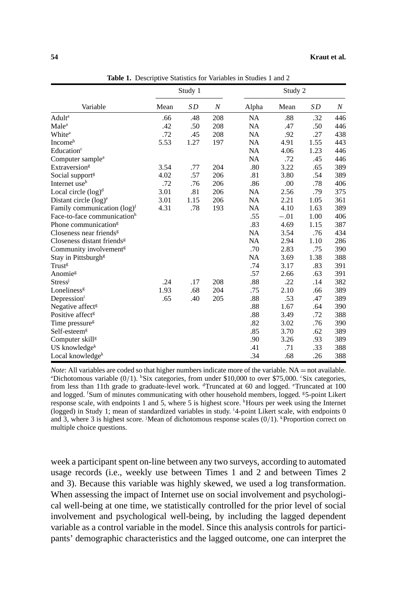|                                         |      | Study 1 |     | Study 2   |        |      |     |  |  |  |  |
|-----------------------------------------|------|---------|-----|-----------|--------|------|-----|--|--|--|--|
| Variable                                | Mean | SD      | N   | Alpha     | Mean   | SD   | N   |  |  |  |  |
| <b>Adult</b> <sup>a</sup>               | .66  | .48     | 208 | NA        | .88    | .32  | 446 |  |  |  |  |
| Male <sup>a</sup>                       | .42  | .50     | 208 | NA        | .47    | .50  | 446 |  |  |  |  |
| White <sup>a</sup>                      | .72  | .45     | 208 | NA        | .92    | .27  | 438 |  |  |  |  |
| Income <sup>b</sup>                     | 5.53 | 1.27    | 197 | NA        | 4.91   | 1.55 | 443 |  |  |  |  |
| Education <sup>c</sup>                  |      |         |     | <b>NA</b> | 4.06   | 1.23 | 446 |  |  |  |  |
| Computer sample <sup>a</sup>            |      |         |     | NA        | .72    | .45  | 446 |  |  |  |  |
| Extraversion <sup>g</sup>               | 3.54 | .77     | 204 | .80       | 3.22   | .65  | 389 |  |  |  |  |
| Social support <sup>g</sup>             | 4.02 | .57     | 206 | .81       | 3.80   | .54  | 389 |  |  |  |  |
| Internet use <sup>h</sup>               | .72  | .76     | 206 | .86       | .00    | .78  | 406 |  |  |  |  |
| Local circle $(\log)^d$                 | 3.01 | .81     | 206 | <b>NA</b> | 2.56   | .79  | 375 |  |  |  |  |
| Distant circle $(\log)^e$               | 3.01 | 1.15    | 206 | NA        | 2.21   | 1.05 | 361 |  |  |  |  |
| Family communication $(\log)^f$         | 4.31 | .78     | 193 | NA        | 4.10   | 1.63 | 389 |  |  |  |  |
| Face-to-face communication <sup>h</sup> |      |         |     | .55       | $-.01$ | 1.00 | 406 |  |  |  |  |
| Phone communication <sup>g</sup>        |      |         |     | .83       | 4.69   | 1.15 | 387 |  |  |  |  |
| Closeness near friends <sup>g</sup>     |      |         |     | <b>NA</b> | 3.54   | .76  | 434 |  |  |  |  |
| Closeness distant friends <sup>g</sup>  |      |         |     | <b>NA</b> | 2.94   | 1.10 | 286 |  |  |  |  |
| Community involvement <sup>g</sup>      |      |         |     | .70       | 2.83   | .75  | 390 |  |  |  |  |
| Stay in Pittsburgh <sup>g</sup>         |      |         |     | <b>NA</b> | 3.69   | 1.38 | 388 |  |  |  |  |
| Trust <sup>g</sup>                      |      |         |     | .74       | 3.17   | .83  | 391 |  |  |  |  |
| Anomie <sup>g</sup>                     |      |         |     | .57       | 2.66   | .63  | 391 |  |  |  |  |
| Stressi                                 | .24  | .17     | 208 | .88       | .22    | .14  | 382 |  |  |  |  |
| Loneliness <sup>g</sup>                 | 1.93 | .68     | 204 | .75       | 2.10   | .66  | 389 |  |  |  |  |
| Depression <sup>1</sup>                 | .65  | .40     | 205 | .88       | .53    | .47  | 389 |  |  |  |  |
| Negative affect <sup>g</sup>            |      |         |     | .88       | 1.67   | .64  | 390 |  |  |  |  |
| Positive affect <sup>g</sup>            |      |         |     | .88       | 3.49   | .72  | 388 |  |  |  |  |
| Time pressure <sup>g</sup>              |      |         |     | .82       | 3.02   | .76  | 390 |  |  |  |  |
| Self-esteem <sup>g</sup>                |      |         |     | .85       | 3.70   | .62  | 389 |  |  |  |  |
| Computer skill <sup>g</sup>             |      |         |     | .90       | 3.26   | .93  | 389 |  |  |  |  |
| US knowledge $k$                        |      |         |     | .41       | .71    | .33  | 388 |  |  |  |  |
| Local knowledge <sup>k</sup>            |      |         |     | .34       | .68    | .26  | 388 |  |  |  |  |

**Table 1.** Descriptive Statistics for Variables in Studies 1 and 2

*Note*: All variables are coded so that higher numbers indicate more of the variable.  $NA = not$  available. Dichotomous variable  $(0/1)$ . <sup>b</sup>Six categories, from under \$10,000 to over \$75,000. *Six categories*, from less than 11th grade to graduate-level work. <sup>d</sup>Truncated at 60 and logged. *Truncated at 100* and logged. <sup>f</sup>Sum of minutes communicating with other household members, logged. <sup>g</sup>5-point Likert response scale, with endpoints 1 and 5, where 5 is highest score. hHours per week using the Internet (logged) in Study 1; mean of standardized variables in study. <sup>1</sup>4-point Likert scale, with endpoints 0 and 3, where 3 is highest score. Mean of dichotomous response scales  $(0/1)$ . <sup>k</sup>Proportion correct on multiple choice questions.

week a participant spent on-line between any two surveys, according to automated usage records (i.e., weekly use between Times 1 and 2 and between Times 2 and 3). Because this variable was highly skewed, we used a log transformation. When assessing the impact of Internet use on social involvement and psychological well-being at one time, we statistically controlled for the prior level of social involvement and psychological well-being, by including the lagged dependent variable as a control variable in the model. Since this analysis controls for participants' demographic characteristics and the lagged outcome, one can interpret the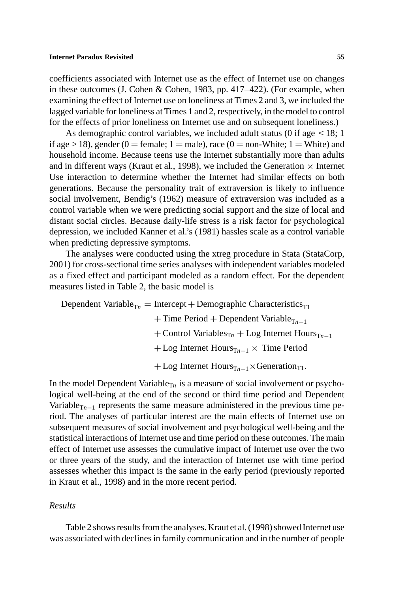coefficients associated with Internet use as the effect of Internet use on changes in these outcomes (J. Cohen & Cohen, 1983, pp. 417–422). (For example, when examining the effect of Internet use on loneliness at Times 2 and 3, we included the lagged variable for loneliness at Times 1 and 2, respectively, in the model to control for the effects of prior loneliness on Internet use and on subsequent loneliness.)

As demographic control variables, we included adult status (0 if age  $\leq$  18; 1 if age  $>18$ ), gender (0 = female; 1 = male), race (0 = non-White; 1 = White) and household income. Because teens use the Internet substantially more than adults and in different ways (Kraut et al., 1998), we included the Generation  $\times$  Internet Use interaction to determine whether the Internet had similar effects on both generations. Because the personality trait of extraversion is likely to influence social involvement, Bendig's (1962) measure of extraversion was included as a control variable when we were predicting social support and the size of local and distant social circles. Because daily-life stress is a risk factor for psychological depression, we included Kanner et al.'s (1981) hassles scale as a control variable when predicting depressive symptoms.

The analyses were conducted using the xtreg procedure in Stata (StataCorp, 2001) for cross-sectional time series analyses with independent variables modeled as a fixed effect and participant modeled as a random effect. For the dependent measures listed in Table 2, the basic model is

Dependent Variable<sub>T*n*</sub> = Intercept + Demographic Characteristics<sub>T1</sub></sub> + Time Period + Dependent VariableT*<sup>n</sup>*−<sup>1</sup> + Control Variables<sub>Tn</sub> + Log Internet Hours<sub>Tn−1</sub>

+ Log Internet Hours<sub>Tn−1</sub> × Time Period

+ Log Internet Hours<sub>Tn−1</sub>×Generation<sub>T1</sub>.

In the model Dependent Variable<sub>Tn</sub> is a measure of social involvement or psychological well-being at the end of the second or third time period and Dependent Variable<sub>Tn-1</sub> represents the same measure administered in the previous time period. The analyses of particular interest are the main effects of Internet use on subsequent measures of social involvement and psychological well-being and the statistical interactions of Internet use and time period on these outcomes. The main effect of Internet use assesses the cumulative impact of Internet use over the two or three years of the study, and the interaction of Internet use with time period assesses whether this impact is the same in the early period (previously reported in Kraut et al., 1998) and in the more recent period.

### *Results*

Table 2 shows results from the analyses. Kraut et al. (1998) showed Internet use was associated with declines in family communication and in the number of people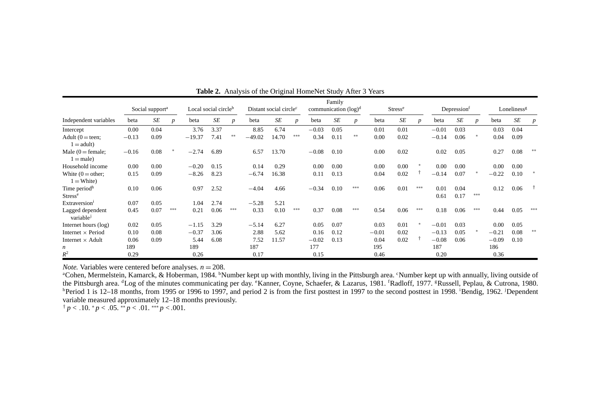|                                                       |         |                             |                  |          |                                  |     |                                    |       |                  |                          | Family |                  |         |                           |                  |              |                         |                  |         |                         |                  |  |
|-------------------------------------------------------|---------|-----------------------------|------------------|----------|----------------------------------|-----|------------------------------------|-------|------------------|--------------------------|--------|------------------|---------|---------------------------|------------------|--------------|-------------------------|------------------|---------|-------------------------|------------------|--|
|                                                       |         | Social support <sup>a</sup> |                  |          | Local social circle <sup>b</sup> |     | Distant social circle <sup>c</sup> |       |                  | communication $(\log)^d$ |        |                  |         | <b>Stress<sup>e</sup></b> |                  |              | Depression <sup>t</sup> |                  |         | Loneliness <sup>g</sup> |                  |  |
| Independent variables                                 | beta    | SE                          | $\boldsymbol{p}$ | beta     | <b>SE</b>                        | p   | beta                               | SE    | $\boldsymbol{v}$ | beta                     | SE     | $\boldsymbol{p}$ | beta    | <b>SE</b>                 | $\boldsymbol{p}$ | beta         | SE                      | $\boldsymbol{p}$ | beta    | $\cal SE$               | $\boldsymbol{p}$ |  |
| Intercept                                             | 0.00    | 0.04                        |                  | 3.76     | 3.37                             |     | 8.85                               | 6.74  |                  | $-0.03$                  | 0.05   |                  | 0.01    | 0.01                      |                  | $-0.01$      | 0.03                    |                  | 0.03    | 0.04                    |                  |  |
| Adult $(0 = \text{teen})$ ;<br>$1 = \text{adult}$     | $-0.13$ | 0.09                        |                  | $-19.37$ | 7.41                             | **  | $-49.02$                           | 14.70 | ***              | 0.34                     | 0.11   | **               | 0.00    | 0.02                      |                  | $-0.14$      | 0.06                    |                  | 0.04    | 0.09                    |                  |  |
| Male $(0 = \text{female})$ .<br>$l = male$            | $-0.16$ | 0.08                        | $*$              | $-2.74$  | 6.89                             |     | 6.57                               | 13.70 |                  | $-0.08$                  | 0.10   |                  | 0.00    | 0.02                      |                  | 0.02         | 0.05                    |                  | 0.27    | 0.08                    |                  |  |
| Household income                                      | 0.00    | 0.00                        |                  | $-0.20$  | 0.15                             |     | 0.14                               | 0.29  |                  | 0.00                     | 0.00   |                  | 0.00    | 0.00                      |                  | 0.00         | 0.00                    |                  | 0.00    | 0.00                    |                  |  |
| White $(0 = other)$ ;<br>$1 =$ White)                 | 0.15    | 0.09                        |                  | $-8.26$  | 8.23                             |     | $-6.74$                            | 16.38 |                  | 0.11                     | 0.13   |                  | 0.04    | 0.02                      |                  | $-0.14$      | 0.07                    |                  | $-0.22$ | 0.10                    |                  |  |
| Time period <sup>h</sup><br><b>Stress<sup>e</sup></b> | 0.10    | 0.06                        |                  | 0.97     | 2.52                             |     | $-4.04$                            | 4.66  |                  | $-0.34$                  | 0.10   | ***              | 0.06    | 0.01                      | ***              | 0.01<br>0.61 | 0.04<br>0.17            | ***              | 0.12    | 0.06                    |                  |  |
| <b>Extraversion</b> <sup>i</sup>                      | 0.07    | 0.05                        |                  | 1.04     | 2.74                             |     | $-5.28$                            | 5.21  |                  |                          |        |                  |         |                           |                  |              |                         |                  |         |                         |                  |  |
| Lagged dependent<br>variable                          | 0.45    | 0.07                        | ***              | 0.21     | 0.06                             | *** | 0.33                               | 0.10  | ***              | 0.37                     | 0.08   | ***              | 0.54    | 0.06                      | ***              | 0.18         | 0.06                    | ***              | 0.44    | 0.05                    |                  |  |
| Internet hours (log)                                  | 0.02    | 0.05                        |                  | $-1.15$  | 3.29                             |     | $-5.14$                            | 6.27  |                  | 0.05                     | 0.07   |                  | 0.03    | 0.01                      | *                | $-0.01$      | 0.03                    |                  | 0.00    | 0.05                    |                  |  |
| Internet × Period                                     | 0.10    | 0.08                        |                  | $-0.37$  | 3.06                             |     | 2.88                               | 5.62  |                  | 0.16                     | 0.12   |                  | $-0.01$ | 0.02                      |                  | $-0.13$      | 0.05                    |                  | $-0.21$ | 0.08                    | **               |  |
| Internet $\times$ Adult                               | 0.06    | 0.09                        |                  | 5.44     | 6.08                             |     | 7.52                               | 11.57 |                  | $-0.02$                  | 0.13   |                  | 0.04    | 0.02                      |                  | $-0.08$      | 0.06                    |                  | $-0.09$ | 0.10                    |                  |  |
| $\boldsymbol{n}$                                      | 189     |                             |                  | 189      |                                  |     | 187                                |       |                  | 177                      |        |                  | 195     |                           |                  | 187          |                         |                  | 186     |                         |                  |  |
| $R^2$                                                 | 0.29    |                             |                  | 0.26     |                                  |     | 0.17                               |       |                  | 0.15                     |        |                  | 0.46    |                           |                  | 0.20         |                         |                  | 0.36    |                         |                  |  |

**Table 2.** Analysis of the Original HomeNet Study After 3 Years

*Note.* Variables were centered before analyses. *<sup>n</sup>* <sup>=</sup> 208.

<sup>a</sup>Cohen, Mermelstein, Kamarck, & Hoberman, 1984. <sup>b</sup>Number kept up with monthly, living in the Pittsburgh area. <sup>c</sup>Number kept up with annually, living outside of the Pittsburgh area. <sup>d</sup>Log of the minutes communicating per day. <sup>e</sup>Kanner, Coyne, Schaefer, & Lazarus, 1981. <sup>f</sup>Radloff, 1977. <sup>g</sup>Russell, Peplau, & Cutrona, 1980. hPeriod 1 is 12–18 months, from 1995 or 1996 to 1997, and period 2 is from the first posttest in 1997 to the second posttest in 1998. Bendig, 1962. Dependent variable measured approximately 12–18 months previously.

 $\frac{1}{p}$   $p$   $\lt$  .10.  $\frac{1}{p}$   $p$   $\lt$  .05.  $\frac{1}{p}$   $\lt$  .01.  $\frac{1}{p}$   $\lt$  .001.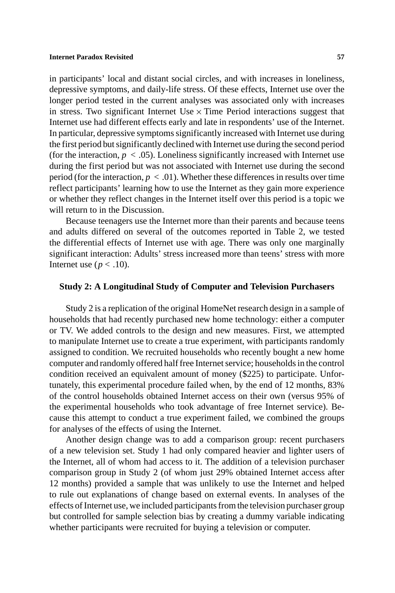in participants' local and distant social circles, and with increases in loneliness, depressive symptoms, and daily-life stress. Of these effects, Internet use over the longer period tested in the current analyses was associated only with increases in stress. Two significant Internet Use  $\times$  Time Period interactions suggest that Internet use had different effects early and late in respondents' use of the Internet. In particular, depressive symptoms significantly increased with Internet use during the first period but significantly declined with Internet use during the second period (for the interaction,  $p < .05$ ). Loneliness significantly increased with Internet use during the first period but was not associated with Internet use during the second period (for the interaction,  $p < .01$ ). Whether these differences in results over time reflect participants' learning how to use the Internet as they gain more experience or whether they reflect changes in the Internet itself over this period is a topic we will return to in the Discussion.

Because teenagers use the Internet more than their parents and because teens and adults differed on several of the outcomes reported in Table 2, we tested the differential effects of Internet use with age. There was only one marginally significant interaction: Adults' stress increased more than teens' stress with more Internet use ( $p < .10$ ).

# **Study 2: A Longitudinal Study of Computer and Television Purchasers**

Study 2 is a replication of the original HomeNet research design in a sample of households that had recently purchased new home technology: either a computer or TV. We added controls to the design and new measures. First, we attempted to manipulate Internet use to create a true experiment, with participants randomly assigned to condition. We recruited households who recently bought a new home computer and randomly offered half free Internet service; households in the control condition received an equivalent amount of money (\$225) to participate. Unfortunately, this experimental procedure failed when, by the end of 12 months, 83% of the control households obtained Internet access on their own (versus 95% of the experimental households who took advantage of free Internet service). Because this attempt to conduct a true experiment failed, we combined the groups for analyses of the effects of using the Internet.

Another design change was to add a comparison group: recent purchasers of a new television set. Study 1 had only compared heavier and lighter users of the Internet, all of whom had access to it. The addition of a television purchaser comparison group in Study 2 (of whom just 29% obtained Internet access after 12 months) provided a sample that was unlikely to use the Internet and helped to rule out explanations of change based on external events. In analyses of the effects of Internet use, we included participants from the television purchaser group but controlled for sample selection bias by creating a dummy variable indicating whether participants were recruited for buying a television or computer.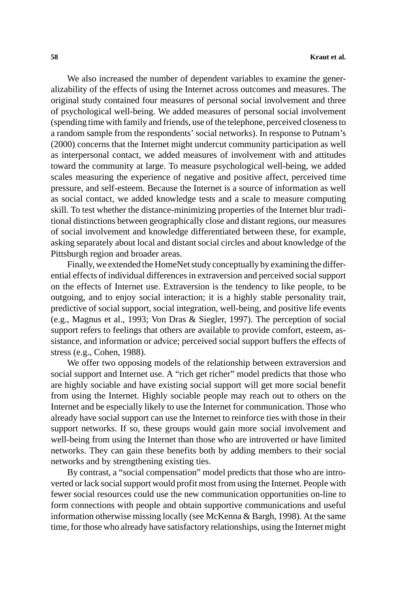We also increased the number of dependent variables to examine the generalizability of the effects of using the Internet across outcomes and measures. The original study contained four measures of personal social involvement and three of psychological well-being. We added measures of personal social involvement (spending time with family and friends, use of the telephone, perceived closeness to a random sample from the respondents' social networks). In response to Putnam's (2000) concerns that the Internet might undercut community participation as well as interpersonal contact, we added measures of involvement with and attitudes toward the community at large. To measure psychological well-being, we added scales measuring the experience of negative and positive affect, perceived time pressure, and self-esteem. Because the Internet is a source of information as well as social contact, we added knowledge tests and a scale to measure computing skill. To test whether the distance-minimizing properties of the Internet blur traditional distinctions between geographically close and distant regions, our measures of social involvement and knowledge differentiated between these, for example, asking separately about local and distant social circles and about knowledge of the Pittsburgh region and broader areas.

Finally, we extended the HomeNet study conceptually by examining the differential effects of individual differences in extraversion and perceived social support on the effects of Internet use. Extraversion is the tendency to like people, to be outgoing, and to enjoy social interaction; it is a highly stable personality trait, predictive of social support, social integration, well-being, and positive life events (e.g., Magnus et al., 1993; Von Dras & Siegler, 1997). The perception of social support refers to feelings that others are available to provide comfort, esteem, assistance, and information or advice; perceived social support buffers the effects of stress (e.g., Cohen, 1988).

We offer two opposing models of the relationship between extraversion and social support and Internet use. A "rich get richer" model predicts that those who are highly sociable and have existing social support will get more social benefit from using the Internet. Highly sociable people may reach out to others on the Internet and be especially likely to use the Internet for communication. Those who already have social support can use the Internet to reinforce ties with those in their support networks. If so, these groups would gain more social involvement and well-being from using the Internet than those who are introverted or have limited networks. They can gain these benefits both by adding members to their social networks and by strengthening existing ties.

By contrast, a "social compensation" model predicts that those who are introverted or lack social support would profit most from using the Internet. People with fewer social resources could use the new communication opportunities on-line to form connections with people and obtain supportive communications and useful information otherwise missing locally (see McKenna & Bargh, 1998). At the same time, for those who already have satisfactory relationships, using the Internet might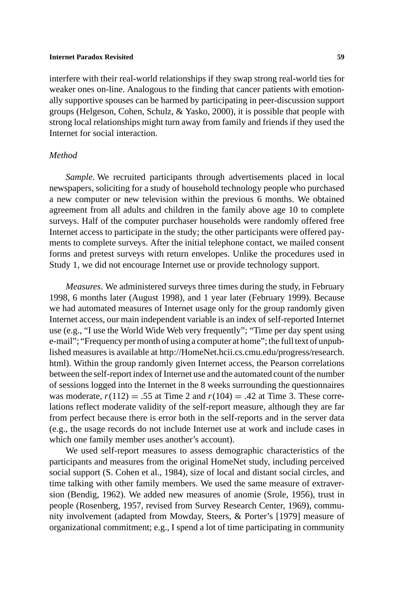interfere with their real-world relationships if they swap strong real-world ties for weaker ones on-line. Analogous to the finding that cancer patients with emotionally supportive spouses can be harmed by participating in peer-discussion support groups (Helgeson, Cohen, Schulz, & Yasko, 2000), it is possible that people with strong local relationships might turn away from family and friends if they used the Internet for social interaction.

# *Method*

*Sample*. We recruited participants through advertisements placed in local newspapers, soliciting for a study of household technology people who purchased a new computer or new television within the previous 6 months. We obtained agreement from all adults and children in the family above age 10 to complete surveys. Half of the computer purchaser households were randomly offered free Internet access to participate in the study; the other participants were offered payments to complete surveys. After the initial telephone contact, we mailed consent forms and pretest surveys with return envelopes. Unlike the procedures used in Study 1, we did not encourage Internet use or provide technology support.

*Measures*. We administered surveys three times during the study, in February 1998, 6 months later (August 1998), and 1 year later (February 1999). Because we had automated measures of Internet usage only for the group randomly given Internet access, our main independent variable is an index of self-reported Internet use (e.g., "I use the World Wide Web very frequently"; "Time per day spent using e-mail"; "Frequency per month of using a computer at home"; the full text of unpublished measures is available at http://HomeNet.hcii.cs.cmu.edu/progress/research. html). Within the group randomly given Internet access, the Pearson correlations between the self-report index of Internet use and the automated count of the number of sessions logged into the Internet in the 8 weeks surrounding the questionnaires was moderate,  $r(112) = .55$  at Time 2 and  $r(104) = .42$  at Time 3. These correlations reflect moderate validity of the self-report measure, although they are far from perfect because there is error both in the self-reports and in the server data (e.g., the usage records do not include Internet use at work and include cases in which one family member uses another's account).

We used self-report measures to assess demographic characteristics of the participants and measures from the original HomeNet study, including perceived social support (S. Cohen et al., 1984), size of local and distant social circles, and time talking with other family members. We used the same measure of extraversion (Bendig, 1962). We added new measures of anomie (Srole, 1956), trust in people (Rosenberg, 1957, revised from Survey Research Center, 1969), community involvement (adapted from Mowday, Steers, & Porter's [1979] measure of organizational commitment; e.g., I spend a lot of time participating in community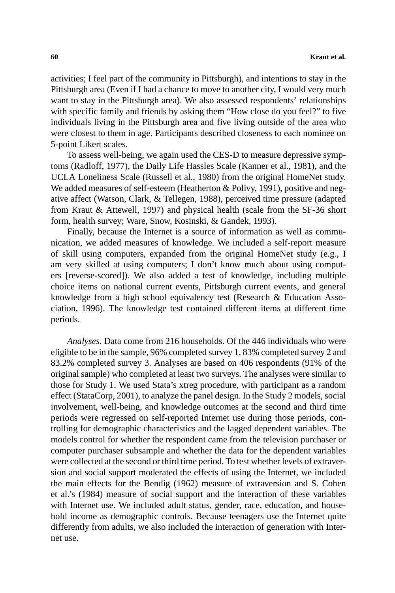activities; I feel part of the community in Pittsburgh), and intentions to stay in the Pittsburgh area (Even if I had a chance to move to another city, I would very much want to stay in the Pittsburgh area). We also assessed respondents' relationships with specific family and friends by asking them "How close do you feel?" to five individuals living in the Pittsburgh area and five living outside of the area who were closest to them in age. Participants described closeness to each nominee on 5-point Likert scales.

To assess well-being, we again used the CES-D to measure depressive symptoms (Radloff, 1977), the Daily Life Hassles Scale (Kanner et al., 1981), and the UCLA Loneliness Scale (Russell et al., 1980) from the original HomeNet study. We added measures of self-esteem (Heatherton & Polivy, 1991), positive and negative affect (Watson, Clark, & Tellegen, 1988), perceived time pressure (adapted from Kraut & Attewell, 1997) and physical health (scale from the SF-36 short form, health survey; Ware, Snow, Kosinski, & Gandek, 1993).

Finally, because the Internet is a source of information as well as communication, we added measures of knowledge. We included a self-report measure of skill using computers, expanded from the original HomeNet study (e.g., I am very skilled at using computers; I don't know much about using computers [reverse-scored]). We also added a test of knowledge, including multiple choice items on national current events, Pittsburgh current events, and general knowledge from a high school equivalency test (Research & Education Association, 1996). The knowledge test contained different items at different time periods.

*Analyses*. Data come from 216 households. Of the 446 individuals who were eligible to be in the sample, 96% completed survey 1, 83% completed survey 2 and 83.2% completed survey 3. Analyses are based on 406 respondents (91% of the original sample) who completed at least two surveys. The analyses were similar to those for Study 1. We used Stata's xtreg procedure, with participant as a random effect (StataCorp, 2001), to analyze the panel design. In the Study 2 models, social involvement, well-being, and knowledge outcomes at the second and third time periods were regressed on self-reported Internet use during those periods, controlling for demographic characteristics and the lagged dependent variables. The models control for whether the respondent came from the television purchaser or computer purchaser subsample and whether the data for the dependent variables were collected at the second or third time period. To test whether levels of extraversion and social support moderated the effects of using the Internet, we included the main effects for the Bendig (1962) measure of extraversion and S. Cohen et al.'s (1984) measure of social support and the interaction of these variables with Internet use. We included adult status, gender, race, education, and household income as demographic controls. Because teenagers use the Internet quite differently from adults, we also included the interaction of generation with Internet use.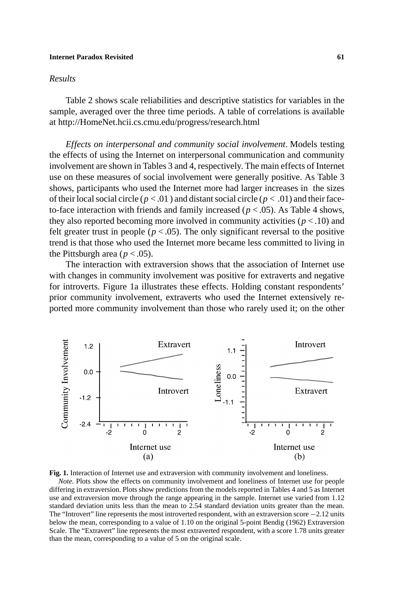#### *Results*

Table 2 shows scale reliabilities and descriptive statistics for variables in the sample, averaged over the three time periods. A table of correlations is available at http://HomeNet.hcii.cs.cmu.edu/progress/research.html

*Effects on interpersonal and community social involvement*. Models testing the effects of using the Internet on interpersonal communication and community involvement are shown in Tables 3 and 4, respectively. The main effects of Internet use on these measures of social involvement were generally positive. As Table 3 shows, participants who used the Internet more had larger increases in the sizes of their local social circle ( $p < .01$ ) and distant social circle ( $p < .01$ ) and their faceto-face interaction with friends and family increased (*p <*.05). As Table 4 shows, they also reported becoming more involved in community activities (*p <*.10) and felt greater trust in people ( $p < .05$ ). The only significant reversal to the positive trend is that those who used the Internet more became less committed to living in the Pittsburgh area (*p <*.05).

The interaction with extraversion shows that the association of Internet use with changes in community involvement was positive for extraverts and negative for introverts. Figure 1a illustrates these effects. Holding constant respondents' prior community involvement, extraverts who used the Internet extensively reported more community involvement than those who rarely used it; on the other



**Fig. 1.** Interaction of Internet use and extraversion with community involvement and loneliness. *Note.* Plots show the effects on community involvement and loneliness of Internet use for people differing in extraversion. Plots show predictions from the models reported in Tables 4 and 5 as Internet use and extraversion move through the range appearing in the sample. Internet use varied from 1.12 standard deviation units less than the mean to 2.54 standard deviation units greater than the mean. The "Introvert" line represents the most introverted respondent, with an extraversion score −2.12 units below the mean, corresponding to a value of 1.10 on the original 5-point Bendig (1962) Extraversion Scale. The "Extravert" line represents the most extraverted respondent, with a score 1.78 units greater than the mean, corresponding to a value of 5 on the original scale.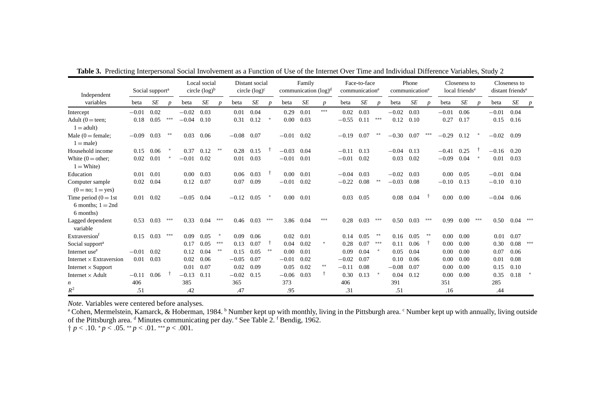| Social support <sup>a</sup><br>Independent |         |           |                  | Local social<br>circle $(log)^b$ |      | Distant social<br>circle $(log)^c$ |         |      | Family<br>communication $(log)^d$ |         |      |                  | Face-to-face<br>communication <sup>e</sup> |      |        | Phone<br>communication <sup>e</sup> |      |                  | Closeness to<br>local friends <sup>e</sup> |      |                  | Closeness to<br>distant friends <sup>e</sup> |           |                  |
|--------------------------------------------|---------|-----------|------------------|----------------------------------|------|------------------------------------|---------|------|-----------------------------------|---------|------|------------------|--------------------------------------------|------|--------|-------------------------------------|------|------------------|--------------------------------------------|------|------------------|----------------------------------------------|-----------|------------------|
| variables                                  | beta    | <b>SE</b> | $\boldsymbol{v}$ | beta                             | SE   | $\boldsymbol{v}$                   | beta    | SE   | $\boldsymbol{p}$                  | beta    | SE   | $\boldsymbol{v}$ | beta                                       | SE   |        | beta                                | SE   | $\boldsymbol{v}$ | beta                                       | SE   | $\boldsymbol{p}$ | beta                                         | $\cal SE$ | $\boldsymbol{p}$ |
| Intercept                                  | $-0.01$ | 0.02      |                  | $-0.02$                          | 0.03 |                                    | 0.01    | 0.04 |                                   | 0.29    | 0.01 | ***              | 0.02                                       | 0.03 |        | $-0.02$                             | 0.03 |                  | $-0.01$                                    | 0.06 |                  | $-0.01$                                      | 0.04      |                  |
| Adult $(0 = \text{teen})$ :                | 0.18    | 0.05      | ***              | $-0.04$                          | 0.10 |                                    | 0.31    | 0.12 | $\ast$                            | 0.00    | 0.03 |                  | $-0.55$                                    | 0.11 | ***    | 0.12                                | 0.10 |                  | 0.27                                       | 0.17 |                  | 0.15                                         | 0.16      |                  |
| $1 = \text{adult}$                         |         |           |                  |                                  |      |                                    |         |      |                                   |         |      |                  |                                            |      |        |                                     |      |                  |                                            |      |                  |                                              |           |                  |
| Male $(0)$ = female:                       | $-0.09$ | 0.03      | $**$             | 0.03                             | 0.06 |                                    | $-0.08$ | 0.07 |                                   | $-0.01$ | 0.02 |                  | $-0.19$                                    | 0.07 |        | $-0.30$                             | 0.07 | ***              | $-0.29$                                    | 0.12 |                  | $-0.02$                                      | 0.09      |                  |
| $1 = male$                                 |         |           |                  |                                  |      |                                    |         |      |                                   |         |      |                  |                                            |      |        |                                     |      |                  |                                            |      |                  |                                              |           |                  |
| Household income                           | 0.15    | 0.06      | 米                | 0.37                             | 0.12 | $*$                                | 0.28    | 0.15 |                                   | $-0.03$ | 0.04 |                  | $-0.11$                                    | 0.13 |        | $-0.04$                             | 0.13 |                  | $-0.41$                                    | 0.25 |                  | $-0.16$                                      | 0.20      |                  |
| White $(0 = other)$ ;                      | 0.02    | 0.01      | *                | $-0.01$                          | 0.02 |                                    | 0.01    | 0.03 |                                   | $-0.01$ | 0.01 |                  | $-0.01$                                    | 0.02 |        | 0.03                                | 0.02 |                  | $-0.09$                                    | 0.04 |                  | 0.01                                         | 0.03      |                  |
| $1 =$ White)                               |         |           |                  |                                  |      |                                    |         |      |                                   |         |      |                  |                                            |      |        |                                     |      |                  |                                            |      |                  |                                              |           |                  |
| Education                                  | 0.01    | 0.01      |                  | 0.00                             | 0.03 |                                    | 0.06    | 0.03 | Ť                                 | 0.00    | 0.01 |                  | $-0.04$                                    | 0.03 |        | $-0.02$                             | 0.03 |                  | 0.00                                       | 0.05 |                  | $-0.01$                                      | 0.04      |                  |
| Computer sample<br>$(0 = no; 1 = yes)$     | 0.02    | 0.04      |                  | 0.12                             | 0.07 |                                    | 0.07    | 0.09 |                                   | $-0.01$ | 0.02 |                  | $-0.22$                                    | 0.08 | **     | $-0.03$                             | 0.08 |                  | $-0.10$                                    | 0.13 |                  | $-0.10$                                      | 0.10      |                  |
| Time period $(0 = 1st$                     | 0.01    | 0.02      |                  | $-0.05$                          | 0.04 |                                    | $-0.12$ | 0.05 | 米                                 | 0.00    | 0.01 |                  | 0.03                                       | 0.05 |        | 0.08                                | 0.04 |                  | 0.00                                       | 0.00 |                  | $-0.04$                                      | 0.06      |                  |
| 6 months: $1 = 2nd$                        |         |           |                  |                                  |      |                                    |         |      |                                   |         |      |                  |                                            |      |        |                                     |      |                  |                                            |      |                  |                                              |           |                  |
| 6 months)                                  |         |           |                  |                                  |      |                                    |         |      |                                   |         |      |                  |                                            |      |        |                                     |      |                  |                                            |      |                  |                                              |           |                  |
| Lagged dependent                           | 0.53    | 0.03      | ***              | 0.33                             | 0.04 | ***                                | 0.46    | 0.03 | ***                               | 3.86    | 0.04 | ***              | 0.28                                       | 0.03 | ***    | 0.50                                | 0.03 | ***              | 0.99                                       | 0.00 | ***              | 0.50                                         | 0.04      | ***              |
| variable                                   |         |           |                  |                                  |      |                                    |         |      |                                   |         |      |                  |                                            |      |        |                                     |      |                  |                                            |      |                  |                                              |           |                  |
| Extraversion                               | 0.15    | 0.03      | ***              | 0.09                             | 0.05 | 涉                                  | 0.09    | 0.06 |                                   | 0.02    | 0.01 |                  | 0.14                                       | 0.05 | **     | 0.16                                | 0.05 |                  | 0.00                                       | 0.00 |                  | 0.01                                         | 0.07      |                  |
| Social support <sup>a</sup>                |         |           |                  | 0.17                             | 0.05 | ***                                | 0.13    | 0.07 | Ť                                 | 0.04    | 0.02 | $\star$          | 0.28                                       | 0.07 | ***    | 0.11                                | 0.06 |                  | 0.00                                       | 0.00 |                  | 0.30                                         | 0.08      | ***              |
| Internet use <sup>e</sup>                  | $-0.01$ | 0.02      |                  | 0.12                             | 0.04 | $*$                                | 0.15    | 0.05 | $**$                              | 0.00    | 0.01 |                  | 0.09                                       | 0.04 | $\ast$ | 0.05                                | 0.04 |                  | 0.00                                       | 0.00 |                  | 0.07                                         | 0.06      |                  |
| Internet $\times$ Extraversion             | 0.01    | 0.03      |                  | 0.02                             | 0.06 |                                    | $-0.05$ | 0.07 |                                   | $-0.01$ | 0.02 |                  | $-0.02$                                    | 0.07 |        | 0.10                                | 0.06 |                  | 0.00                                       | 0.00 |                  | 0.01                                         | 0.08      |                  |
| Internet $\times$ Support                  |         |           |                  | 0.01                             | 0.07 |                                    | 0.02    | 0.09 |                                   | 0.05    | 0.02 | $\ast\ast$       | $-0.11$                                    | 0.08 |        | $-0.08$                             | 0.07 |                  | 0.00                                       | 0.00 |                  | 0.15                                         | 0.10      |                  |
| Internet $\times$ Adult                    | $-0.11$ | 0.06      |                  | $-0.13$                          | 0.11 |                                    | $-0.02$ | 0.15 |                                   | $-0.06$ | 0.03 |                  | 0.30                                       | 0.13 | $\ast$ | 0.04                                | 0.12 |                  | 0.00                                       | 0.00 |                  | 0.35                                         | 0.18      | $*$              |
| n                                          | 406     |           |                  | 385                              |      |                                    | 365     |      |                                   | 373     |      |                  | 406                                        |      |        | 391                                 |      |                  | 351                                        |      |                  | 285                                          |           |                  |
| $R^2$                                      | .51     |           |                  | .42                              |      |                                    | .47     |      |                                   | .95     |      |                  | .31                                        |      |        | .51                                 |      |                  | .16                                        |      |                  | .44                                          |           |                  |

**Table 3.** Predicting Interpersonal Social Involvement as <sup>a</sup> Function of Use of the Internet Over Time and Individual Difference Variables, Study 2

*Note*. Variables were centered before analyses.

<sup>a</sup> Cohen, Mermelstein, Kamarck, & Hoberman, 1984. <sup>b</sup> Number kept up with monthly, living in the Pittsburgh area. <sup>c</sup> Number kept up with annually, living outside of the Pittsburgh area. <sup>d</sup> Minutes communicating per day. <sup>e</sup> See Table 2. <sup>f</sup> Bendig, 1962.

 $\uparrow p < .10.^{\circ} p < .05.^{\circ} p < .01.^{\circ} \text{**} p < .001.$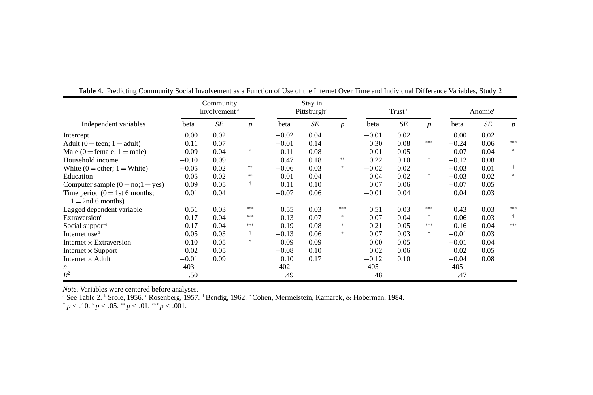|                                                  |         | Community<br>involvement <sup>a</sup> |                  |         | Stay in<br>Pittsburgh <sup>a</sup> |                  |         | Trust <sup>b</sup> | Anomie <sup>c</sup> |         |           |                  |
|--------------------------------------------------|---------|---------------------------------------|------------------|---------|------------------------------------|------------------|---------|--------------------|---------------------|---------|-----------|------------------|
| Independent variables                            | beta    | <b>SE</b>                             | $\boldsymbol{p}$ | beta    | SE                                 | $\boldsymbol{p}$ | beta    | SE                 | $\boldsymbol{p}$    | beta    | <b>SE</b> | $\boldsymbol{p}$ |
| Intercept                                        | 0.00    | 0.02                                  |                  | $-0.02$ | 0.04                               |                  | $-0.01$ | 0.02               |                     | 0.00    | 0.02      |                  |
| Adult ( $0 = \text{teen}$ ; $1 = \text{adult}$ ) | 0.11    | 0.07                                  |                  | $-0.01$ | 0.14                               |                  | 0.30    | 0.08               | ***                 | $-0.24$ | 0.06      | ***              |
| Male $(0 = \text{female}; 1 = \text{male})$      | $-0.09$ | 0.04                                  | *                | 0.11    | 0.08                               |                  | $-0.01$ | 0.05               |                     | 0.07    | 0.04      | $\ast$           |
| Household income                                 | $-0.10$ | 0.09                                  |                  | 0.47    | 0.18                               | **               | 0.22    | 0.10               | $\ast$              | $-0.12$ | 0.08      |                  |
| White $(0 = other; 1 = White)$                   | $-0.05$ | 0.02                                  | **               | $-0.06$ | 0.03                               | *                | $-0.02$ | 0.02               |                     | $-0.03$ | 0.01      | t                |
| Education                                        | 0.05    | 0.02                                  | **               | 0.01    | 0.04                               |                  | 0.04    | 0.02               | $\dagger$           | $-0.03$ | 0.02      | $\ast$           |
| Computer sample $(0 = no; 1 = yes)$              | 0.09    | 0.05                                  |                  | 0.11    | 0.10                               |                  | 0.07    | 0.06               |                     | $-0.07$ | 0.05      |                  |
| Time period $(0 = 1st 6$ months;                 | 0.01    | 0.04                                  |                  | $-0.07$ | 0.06                               |                  | $-0.01$ | 0.04               |                     | 0.04    | 0.03      |                  |
| $1 = 2nd 6 months$                               |         |                                       |                  |         |                                    |                  |         |                    |                     |         |           |                  |
| Lagged dependent variable                        | 0.51    | 0.03                                  | ***              | 0.55    | 0.03                               | ***              | 0.51    | 0.03               | ***                 | 0.43    | 0.03      | ***              |
| Extraversion <sup>d</sup>                        | 0.17    | 0.04                                  | ***              | 0.13    | 0.07                               | *                | 0.07    | 0.04               | $\dagger$           | $-0.06$ | 0.03      | $\dagger$        |
| Social support <sup>e</sup>                      | 0.17    | 0.04                                  | ***              | 0.19    | 0.08                               | $*$              | 0.21    | 0.05               | ***                 | $-0.16$ | 0.04      | ***              |
| Internet use <sup>d</sup>                        | 0.05    | 0.03                                  |                  | $-0.13$ | 0.06                               | *                | 0.07    | 0.03               | $\ast$              | $-0.01$ | 0.03      |                  |
| Internet $\times$ Extraversion                   | 0.10    | 0.05                                  | *                | 0.09    | 0.09                               |                  | 0.00    | 0.05               |                     | $-0.01$ | 0.04      |                  |
| Internet $\times$ Support                        | 0.02    | 0.05                                  |                  | $-0.08$ | 0.10                               |                  | 0.02    | 0.06               |                     | 0.02    | 0.05      |                  |
| Internet $\times$ Adult                          | $-0.01$ | 0.09                                  |                  | 0.10    | 0.17                               |                  | $-0.12$ | 0.10               |                     | $-0.04$ | 0.08      |                  |
| n                                                | 403     |                                       |                  | 402     |                                    |                  | 405     |                    |                     | 405     |           |                  |
| $R^2$                                            | .50     |                                       |                  | .49     |                                    |                  | .48     |                    |                     | .47     |           |                  |

**Table 4.** Predicting Community Social Involvement as <sup>a</sup> Function of Use of the Internet Over Time and Individual Difference Variables, Study 2

*Note*. Variables were centered before analyses.

<sup>a</sup> See Table 2. <sup>b</sup> Srole, 1956. <sup>c</sup> Rosenberg, 1957. <sup>d</sup> Bendig, 1962. <sup>e</sup> Cohen, Mermelstein, Kamarck, & Hoberman, 1984.

 $\frac{1}{p}$  *c* .10.  $\frac{1}{p}$  *c* .05. \*\* *p <* .01. \*\*\* *p <* .001.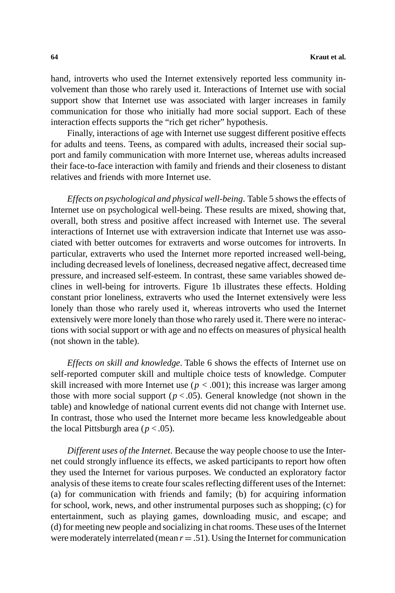hand, introverts who used the Internet extensively reported less community involvement than those who rarely used it. Interactions of Internet use with social support show that Internet use was associated with larger increases in family communication for those who initially had more social support. Each of these interaction effects supports the "rich get richer" hypothesis.

Finally, interactions of age with Internet use suggest different positive effects for adults and teens. Teens, as compared with adults, increased their social support and family communication with more Internet use, whereas adults increased their face-to-face interaction with family and friends and their closeness to distant relatives and friends with more Internet use.

*Effects on psychological and physical well-being*. Table 5 shows the effects of Internet use on psychological well-being. These results are mixed, showing that, overall, both stress and positive affect increased with Internet use. The several interactions of Internet use with extraversion indicate that Internet use was associated with better outcomes for extraverts and worse outcomes for introverts. In particular, extraverts who used the Internet more reported increased well-being, including decreased levels of loneliness, decreased negative affect, decreased time pressure, and increased self-esteem. In contrast, these same variables showed declines in well-being for introverts. Figure 1b illustrates these effects. Holding constant prior loneliness, extraverts who used the Internet extensively were less lonely than those who rarely used it, whereas introverts who used the Internet extensively were more lonely than those who rarely used it. There were no interactions with social support or with age and no effects on measures of physical health (not shown in the table).

*Effects on skill and knowledge*. Table 6 shows the effects of Internet use on self-reported computer skill and multiple choice tests of knowledge. Computer skill increased with more Internet use  $(p < .001)$ ; this increase was larger among those with more social support  $(p < .05)$ . General knowledge (not shown in the table) and knowledge of national current events did not change with Internet use. In contrast, those who used the Internet more became less knowledgeable about the local Pittsburgh area (*p <*.05).

*Different uses of the Internet*. Because the way people choose to use the Internet could strongly influence its effects, we asked participants to report how often they used the Internet for various purposes. We conducted an exploratory factor analysis of these items to create four scales reflecting different uses of the Internet: (a) for communication with friends and family; (b) for acquiring information for school, work, news, and other instrumental purposes such as shopping; (c) for entertainment, such as playing games, downloading music, and escape; and (d) for meeting new people and socializing in chat rooms. These uses of the Internet were moderately interrelated (mean  $r = .51$ ). Using the Internet for communication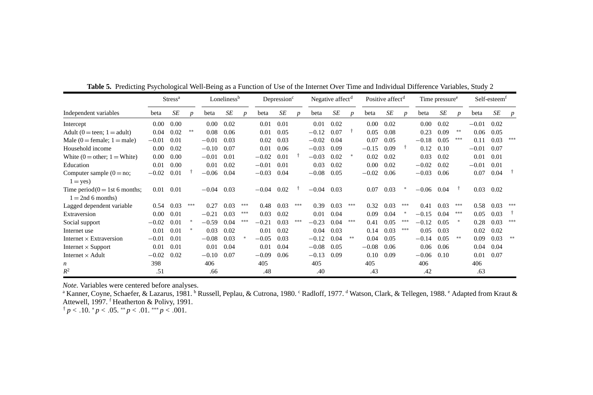|                                                  |         | Stress <sup>a</sup> |                  | $L$ oneliness <sup>b</sup> |           |                  |         | Depression <sup>c</sup> |                  |         | Negative affect <sup>d</sup> |                  |         | Positive affect <sup>d</sup> |                  |         | Time pressure <sup>e</sup> |                  |         | Self-esteem <sup>t</sup> |                  |  |
|--------------------------------------------------|---------|---------------------|------------------|----------------------------|-----------|------------------|---------|-------------------------|------------------|---------|------------------------------|------------------|---------|------------------------------|------------------|---------|----------------------------|------------------|---------|--------------------------|------------------|--|
| Independent variables                            | beta    | <b>SE</b>           | $\boldsymbol{D}$ | beta                       | <b>SE</b> | $\boldsymbol{D}$ | beta    | <b>SE</b>               | $\boldsymbol{D}$ | beta    | SE                           | $\boldsymbol{D}$ | beta    | <b>SE</b>                    | $\boldsymbol{D}$ | beta    | SE                         | $\boldsymbol{D}$ | beta    | SE                       | $\boldsymbol{p}$ |  |
| Intercept                                        | 0.00    | 0.00                |                  | 0.00                       | 0.02      |                  | 0.01    | 0.01                    |                  | 0.01    | 0.02                         |                  | 0.00    | 0.02                         |                  | 0.00    | 0.02                       |                  | $-0.01$ | 0.02                     |                  |  |
| Adult ( $0 = \text{teen}$ ; $1 = \text{adult}$ ) | 0.04    | 0.02                | **               | 0.08                       | 0.06      |                  | 0.01    | 0.05                    |                  | $-0.12$ | 0.07                         |                  | 0.05    | 0.08                         |                  | 0.23    | 0.09                       | **               | 0.06    | 0.05                     |                  |  |
| Male $(0 = \text{female}; 1 = \text{male})$      | $-0.01$ | 0.01                |                  | $-0.01$                    | 0.03      |                  | 0.02    | 0.03                    |                  | $-0.02$ | 0.04                         |                  | 0.07    | 0.05                         |                  | $-0.18$ | 0.05                       | ***              | 0.11    | 0.03                     |                  |  |
| Household income                                 | 0.00    | 0.02                |                  | $-0.10$                    | 0.07      |                  | 0.01    | 0.06                    |                  | $-0.03$ | 0.09                         |                  | $-0.15$ | 0.09                         |                  | 0.12    | 0.10                       |                  | $-0.01$ | 0.07                     |                  |  |
| White $(0 = other; 1 = White)$                   | 0.00    | 0.00                |                  | $-0.01$                    | 0.01      |                  | $-0.02$ | 0.01                    |                  | $-0.03$ | 0.02                         |                  | 0.02    | 0.02                         |                  | 0.03    | 0.02                       |                  | 0.01    | 0.01                     |                  |  |
| Education                                        | 0.01    | 0.00                |                  | 0.01                       | 0.02      |                  | $-0.01$ | 0.01                    |                  | 0.03    | 0.02                         |                  | 0.00    | 0.02                         |                  | $-0.02$ | 0.02                       |                  | $-0.01$ | 0.01                     |                  |  |
| Computer sample $(0 = no;$                       | $-0.02$ | 0.01                |                  | $-0.06$                    | 0.04      |                  | $-0.03$ | 0.04                    |                  | $-0.08$ | 0.05                         |                  | $-0.02$ | 0.06                         |                  | $-0.03$ | 0.06                       |                  | 0.07    | 0.04                     | Ť                |  |
| $1 = yes$                                        |         |                     |                  |                            |           |                  |         |                         |                  |         |                              |                  |         |                              |                  |         |                            |                  |         |                          |                  |  |
| Time period $(0 = 1st 6$ months;                 | 0.01    | 0.01                |                  | $-0.04$                    | 0.03      |                  | $-0.04$ | 0.02                    |                  | $-0.04$ | 0.03                         |                  | 0.07    | 0.03                         |                  | $-0.06$ | 0.04                       |                  | 0.03    | 0.02                     |                  |  |
| $1 = 2nd 6 months$                               |         |                     |                  |                            |           |                  |         |                         |                  |         |                              |                  |         |                              |                  |         |                            |                  |         |                          |                  |  |
| Lagged dependent variable                        | 0.54    | 0.03                | ***              | 0.27                       | 0.03      | ***              | 0.48    | 0.03                    | ***              | 0.39    | 0.03                         | ***              | 0.32    | 0.03                         | ***              | 0.41    | 0.03                       | ***              | 0.58    | 0.03                     | ***              |  |
| Extraversion                                     | 0.00    | 0.01                |                  | $-0.21$                    | 0.03      | ***              | 0.03    | 0.02                    |                  | 0.01    | 0.04                         |                  | 0.09    | 0.04                         |                  | $-0.15$ | 0.04                       | ***              | 0.05    | 0.03                     |                  |  |
| Social support                                   | $-0.02$ | 0.01                | *                | $-0.59$                    | 0.04      | ***              | $-0.21$ | 0.03                    | ***              | $-0.23$ | 0.04                         | ***              | 0.41    | 0.05                         | ***              | $-0.12$ | 0.05                       | *                | 0.28    | 0.03                     | ***              |  |
| Internet use                                     | 0.01    | 0.01                |                  | 0.03                       | 0.02      |                  | 0.01    | 0.02                    |                  | 0.04    | 0.03                         |                  | 0.14    | 0.03                         | ***              | 0.05    | 0.03                       |                  | 0.02    | 0.02                     |                  |  |
| Internet $\times$ Extraversion                   | $-0.01$ | 0.01                |                  | $-0.08$                    | 0.03      |                  | $-0.05$ | 0.03                    |                  | $-0.12$ | 0.04                         | **               | 0.04    | 0.05                         |                  | $-0.14$ | 0.05                       | **               | 0.09    | 0.03                     | **               |  |
| Internet $\times$ Support                        | 0.01    | 0.01                |                  | 0.01                       | 0.04      |                  | 0.01    | 0.04                    |                  | $-0.08$ | 0.05                         |                  | $-0.08$ | 0.06                         |                  | 0.06    | 0.06                       |                  | 0.04    | 0.04                     |                  |  |
| Internet $\times$ Adult                          | $-0.02$ | 0.02                |                  | $-0.10$                    | 0.07      |                  | $-0.09$ | 0.06                    |                  | $-0.13$ | 0.09                         |                  | 0.10    | 0.09                         |                  | $-0.06$ | 0.10                       |                  | 0.01    | 0.07                     |                  |  |
| n                                                | 398     |                     |                  | 406                        |           |                  | 405     |                         |                  | 405     |                              |                  | 405     |                              |                  | 406     |                            |                  | 406     |                          |                  |  |
| $R^2$                                            | .51     |                     |                  | .66                        |           |                  | .48     |                         |                  | .40     |                              |                  | .43     |                              |                  | .42     |                            |                  | .63     |                          |                  |  |

**Table 5.** Predicting Psychological Well-Being as <sup>a</sup> Function of Use of the Internet Over Time and Individual Difference Variables, Study 2

*Note*. Variables were centered before analyses.

<sup>a</sup> Kanner, Coyne, Schaefer, & Lazarus, 1981. <sup>b</sup> Russell, Peplau, & Cutrona, 1980. ° Radloff, 1977. <sup>d</sup> Watson, Clark, & Tellegen, 1988. ° Adapted from Kraut & Attewell, 1997. <sup>f</sup> Heatherton & Polivy, 1991.

 $\frac{1}{p}$  *p* < .10.  $\frac{1}{p}$  *c* .05. \*\* *p* < .01. \*\*\* *p* < .001.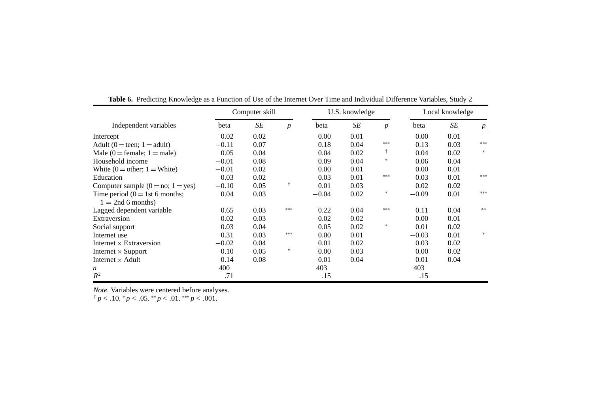|                                             |         | Computer skill |                  |         | U.S. knowledge |                  | Local knowledge |      |                  |  |
|---------------------------------------------|---------|----------------|------------------|---------|----------------|------------------|-----------------|------|------------------|--|
| Independent variables                       | beta    | SE             | $\boldsymbol{p}$ | beta    | SE             | $\boldsymbol{p}$ | beta            | SЕ   | $\boldsymbol{p}$ |  |
| Intercept                                   | 0.02    | 0.02           |                  | 0.00    | 0.01           |                  | 0.00            | 0.01 |                  |  |
| Adult $(0 = \text{teen}; 1 = \text{adult})$ | $-0.11$ | 0.07           |                  | 0.18    | 0.04           | ***              | 0.13            | 0.03 | ***              |  |
| Male $(0 = \text{female}; 1 = \text{male})$ | 0.05    | 0.04           |                  | 0.04    | 0.02           | t                | 0.04            | 0.02 | $\ast$           |  |
| Household income                            | $-0.01$ | 0.08           |                  | 0.09    | 0.04           | $*$              | 0.06            | 0.04 |                  |  |
| White $(0 = other; 1 = White)$              | $-0.01$ | 0.02           |                  | 0.00    | 0.01           |                  | 0.00            | 0.01 |                  |  |
| Education                                   | 0.03    | 0.02           |                  | 0.03    | 0.01           | ***              | 0.03            | 0.01 | ***              |  |
| Computer sample $(0 = no; 1 = yes)$         | $-0.10$ | 0.05           | Ť                | 0.01    | 0.03           |                  | 0.02            | 0.02 |                  |  |
| Time period $(0 = 1st 6$ months;            | 0.04    | 0.03           |                  | $-0.04$ | 0.02           | *                | $-0.09$         | 0.01 | ***              |  |
| $1 = 2nd 6 months$                          |         |                |                  |         |                |                  |                 |      |                  |  |
| Lagged dependent variable                   | 0.65    | 0.03           | ***              | 0.22    | 0.04           | ***              | 0.11            | 0.04 | 宋宋               |  |
| Extraversion                                | 0.02    | 0.03           |                  | $-0.02$ | 0.02           |                  | 0.00            | 0.01 |                  |  |
| Social support                              | 0.03    | 0.04           |                  | 0.05    | 0.02           | *                | 0.01            | 0.02 |                  |  |
| Internet use                                | 0.31    | 0.03           | ***              | 0.00    | 0.01           |                  | $-0.03$         | 0.01 |                  |  |
| Internet $\times$ Extraversion              | $-0.02$ | 0.04           |                  | 0.01    | 0.02           |                  | 0.03            | 0.02 |                  |  |
| Internet $\times$ Support                   | 0.10    | 0.05           | $*$              | 0.00    | 0.03           |                  | 0.00            | 0.02 |                  |  |
| Internet $\times$ Adult                     | 0.14    | 0.08           |                  | $-0.01$ | 0.04           |                  | 0.01            | 0.04 |                  |  |
| $\boldsymbol{n}$                            | 400     |                |                  | 403     |                |                  | 403             |      |                  |  |
| $R^2$                                       | .71     |                |                  | .15     |                |                  | .15             |      |                  |  |

Table 6. Predicting Knowledge as a Function of Use of the Internet Over Time and Individual Difference Variables, Study 2

*Note*. Variables were centered before analyses.

 $\frac{1}{7}p < .10.^{*}p < .05.^{*}p < .01.^{*}p < .001.$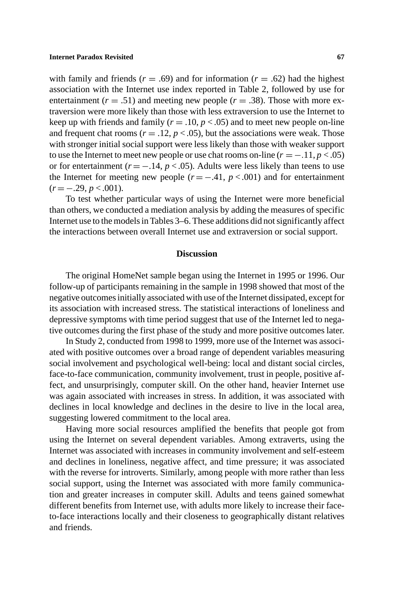with family and friends ( $r = .69$ ) and for information ( $r = .62$ ) had the highest association with the Internet use index reported in Table 2, followed by use for entertainment  $(r = .51)$  and meeting new people  $(r = .38)$ . Those with more extraversion were more likely than those with less extraversion to use the Internet to keep up with friends and family ( $r = .10$ ,  $p < .05$ ) and to meet new people on-line and frequent chat rooms ( $r = .12$ ,  $p < .05$ ), but the associations were weak. Those with stronger initial social support were less likely than those with weaker support to use the Internet to meet new people or use chat rooms on-line  $(r = -11, p < .05)$ or for entertainment ( $r = -0.14$ ,  $p < 0.05$ ). Adults were less likely than teens to use the Internet for meeting new people  $(r = -.41, p < .001)$  and for entertainment (*r* = −.29, *p <*.001).

To test whether particular ways of using the Internet were more beneficial than others, we conducted a mediation analysis by adding the measures of specific Internet use to the models in Tables 3–6. These additions did not significantly affect the interactions between overall Internet use and extraversion or social support.

# **Discussion**

The original HomeNet sample began using the Internet in 1995 or 1996. Our follow-up of participants remaining in the sample in 1998 showed that most of the negative outcomes initially associated with use of the Internet dissipated, except for its association with increased stress. The statistical interactions of loneliness and depressive symptoms with time period suggest that use of the Internet led to negative outcomes during the first phase of the study and more positive outcomes later.

In Study 2, conducted from 1998 to 1999, more use of the Internet was associated with positive outcomes over a broad range of dependent variables measuring social involvement and psychological well-being: local and distant social circles, face-to-face communication, community involvement, trust in people, positive affect, and unsurprisingly, computer skill. On the other hand, heavier Internet use was again associated with increases in stress. In addition, it was associated with declines in local knowledge and declines in the desire to live in the local area, suggesting lowered commitment to the local area.

Having more social resources amplified the benefits that people got from using the Internet on several dependent variables. Among extraverts, using the Internet was associated with increases in community involvement and self-esteem and declines in loneliness, negative affect, and time pressure; it was associated with the reverse for introverts. Similarly, among people with more rather than less social support, using the Internet was associated with more family communication and greater increases in computer skill. Adults and teens gained somewhat different benefits from Internet use, with adults more likely to increase their faceto-face interactions locally and their closeness to geographically distant relatives and friends.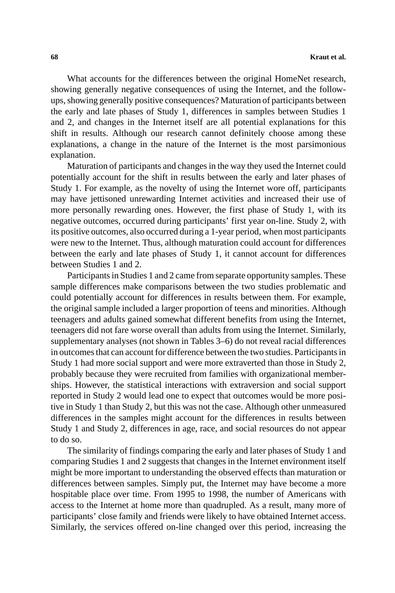What accounts for the differences between the original HomeNet research, showing generally negative consequences of using the Internet, and the followups, showing generally positive consequences? Maturation of participants between the early and late phases of Study 1, differences in samples between Studies 1 and 2, and changes in the Internet itself are all potential explanations for this shift in results. Although our research cannot definitely choose among these explanations, a change in the nature of the Internet is the most parsimonious explanation.

Maturation of participants and changes in the way they used the Internet could potentially account for the shift in results between the early and later phases of Study 1. For example, as the novelty of using the Internet wore off, participants may have jettisoned unrewarding Internet activities and increased their use of more personally rewarding ones. However, the first phase of Study 1, with its negative outcomes, occurred during participants' first year on-line. Study 2, with its positive outcomes, also occurred during a 1-year period, when most participants were new to the Internet. Thus, although maturation could account for differences between the early and late phases of Study 1, it cannot account for differences between Studies 1 and 2.

Participants in Studies 1 and 2 came from separate opportunity samples. These sample differences make comparisons between the two studies problematic and could potentially account for differences in results between them. For example, the original sample included a larger proportion of teens and minorities. Although teenagers and adults gained somewhat different benefits from using the Internet, teenagers did not fare worse overall than adults from using the Internet. Similarly, supplementary analyses (not shown in Tables 3–6) do not reveal racial differences in outcomes that can account for difference between the two studies. Participants in Study 1 had more social support and were more extraverted than those in Study 2, probably because they were recruited from families with organizational memberships. However, the statistical interactions with extraversion and social support reported in Study 2 would lead one to expect that outcomes would be more positive in Study 1 than Study 2, but this was not the case. Although other unmeasured differences in the samples might account for the differences in results between Study 1 and Study 2, differences in age, race, and social resources do not appear to do so.

The similarity of findings comparing the early and later phases of Study 1 and comparing Studies 1 and 2 suggests that changes in the Internet environment itself might be more important to understanding the observed effects than maturation or differences between samples. Simply put, the Internet may have become a more hospitable place over time. From 1995 to 1998, the number of Americans with access to the Internet at home more than quadrupled. As a result, many more of participants' close family and friends were likely to have obtained Internet access. Similarly, the services offered on-line changed over this period, increasing the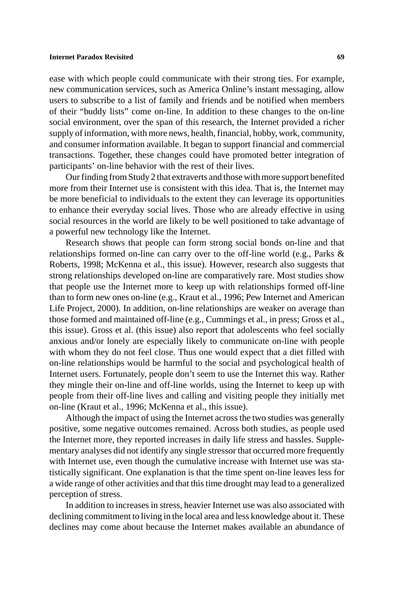ease with which people could communicate with their strong ties. For example, new communication services, such as America Online's instant messaging, allow users to subscribe to a list of family and friends and be notified when members of their "buddy lists" come on-line. In addition to these changes to the on-line social environment, over the span of this research, the Internet provided a richer supply of information, with more news, health, financial, hobby, work, community, and consumer information available. It began to support financial and commercial transactions. Together, these changes could have promoted better integration of participants' on-line behavior with the rest of their lives.

Our finding from Study 2 that extraverts and those with more support benefited more from their Internet use is consistent with this idea. That is, the Internet may be more beneficial to individuals to the extent they can leverage its opportunities to enhance their everyday social lives. Those who are already effective in using social resources in the world are likely to be well positioned to take advantage of a powerful new technology like the Internet.

Research shows that people can form strong social bonds on-line and that relationships formed on-line can carry over to the off-line world (e.g., Parks & Roberts, 1998; McKenna et al., this issue). However, research also suggests that strong relationships developed on-line are comparatively rare. Most studies show that people use the Internet more to keep up with relationships formed off-line than to form new ones on-line (e.g., Kraut et al., 1996; Pew Internet and American Life Project, 2000). In addition, on-line relationships are weaker on average than those formed and maintained off-line (e.g., Cummings et al., in press; Gross et al., this issue). Gross et al. (this issue) also report that adolescents who feel socially anxious and/or lonely are especially likely to communicate on-line with people with whom they do not feel close. Thus one would expect that a diet filled with on-line relationships would be harmful to the social and psychological health of Internet users. Fortunately, people don't seem to use the Internet this way. Rather they mingle their on-line and off-line worlds, using the Internet to keep up with people from their off-line lives and calling and visiting people they initially met on-line (Kraut et al., 1996; McKenna et al., this issue).

Although the impact of using the Internet across the two studies was generally positive, some negative outcomes remained. Across both studies, as people used the Internet more, they reported increases in daily life stress and hassles. Supplementary analyses did not identify any single stressor that occurred more frequently with Internet use, even though the cumulative increase with Internet use was statistically significant. One explanation is that the time spent on-line leaves less for a wide range of other activities and that this time drought may lead to a generalized perception of stress.

In addition to increases in stress, heavier Internet use was also associated with declining commitment to living in the local area and less knowledge about it. These declines may come about because the Internet makes available an abundance of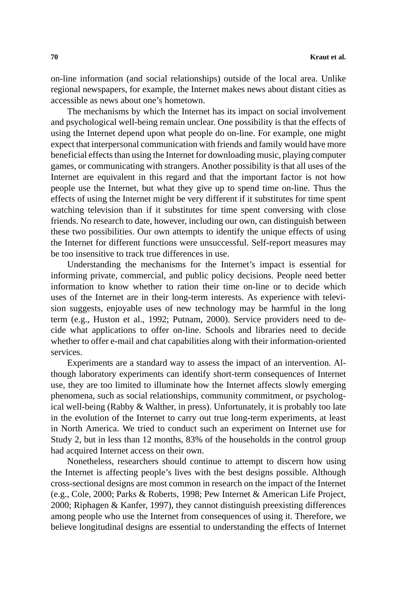on-line information (and social relationships) outside of the local area. Unlike regional newspapers, for example, the Internet makes news about distant cities as accessible as news about one's hometown.

The mechanisms by which the Internet has its impact on social involvement and psychological well-being remain unclear. One possibility is that the effects of using the Internet depend upon what people do on-line. For example, one might expect that interpersonal communication with friends and family would have more beneficial effects than using the Internet for downloading music, playing computer games, or communicating with strangers. Another possibility is that all uses of the Internet are equivalent in this regard and that the important factor is not how people use the Internet, but what they give up to spend time on-line. Thus the effects of using the Internet might be very different if it substitutes for time spent watching television than if it substitutes for time spent conversing with close friends. No research to date, however, including our own, can distinguish between these two possibilities. Our own attempts to identify the unique effects of using the Internet for different functions were unsuccessful. Self-report measures may be too insensitive to track true differences in use.

Understanding the mechanisms for the Internet's impact is essential for informing private, commercial, and public policy decisions. People need better information to know whether to ration their time on-line or to decide which uses of the Internet are in their long-term interests. As experience with television suggests, enjoyable uses of new technology may be harmful in the long term (e.g., Huston et al., 1992; Putnam, 2000). Service providers need to decide what applications to offer on-line. Schools and libraries need to decide whether to offer e-mail and chat capabilities along with their information-oriented services.

Experiments are a standard way to assess the impact of an intervention. Although laboratory experiments can identify short-term consequences of Internet use, they are too limited to illuminate how the Internet affects slowly emerging phenomena, such as social relationships, community commitment, or psychological well-being (Rabby & Walther, in press). Unfortunately, it is probably too late in the evolution of the Internet to carry out true long-term experiments, at least in North America. We tried to conduct such an experiment on Internet use for Study 2, but in less than 12 months, 83% of the households in the control group had acquired Internet access on their own.

Nonetheless, researchers should continue to attempt to discern how using the Internet is affecting people's lives with the best designs possible. Although cross-sectional designs are most common in research on the impact of the Internet (e.g., Cole, 2000; Parks & Roberts, 1998; Pew Internet & American Life Project, 2000; Riphagen & Kanfer, 1997), they cannot distinguish preexisting differences among people who use the Internet from consequences of using it. Therefore, we believe longitudinal designs are essential to understanding the effects of Internet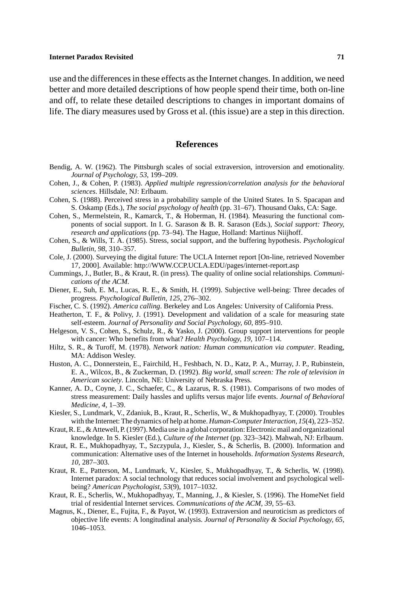use and the differences in these effects as the Internet changes. In addition, we need better and more detailed descriptions of how people spend their time, both on-line and off, to relate these detailed descriptions to changes in important domains of life. The diary measures used by Gross et al. (this issue) are a step in this direction.

# **References**

- Bendig, A. W. (1962). The Pittsburgh scales of social extraversion, introversion and emotionality. *Journal of Psychology, 53*, 199–209.
- Cohen, J., & Cohen, P. (1983). *Applied multiple regression/correlation analysis for the behavioral sciences*. Hillsdale, NJ: Erlbaum.
- Cohen, S. (1988). Perceived stress in a probability sample of the United States. In S. Spacapan and S. Oskamp (Eds.), *The social psychology of health* (pp. 31–67). Thousand Oaks, CA: Sage.
- Cohen, S., Mermelstein, R., Kamarck, T., & Hoberman, H. (1984). Measuring the functional components of social support. In I. G. Sarason & B. R. Sarason (Eds.), *Social support: Theory, research and applications* (pp. 73–94). The Hague, Holland: Martinus Niijhoff.
- Cohen, S., & Wills, T. A. (1985). Stress, social support, and the buffering hypothesis. *Psychological Bulletin, 98*, 310–357.
- Cole, J. (2000). Surveying the digital future: The UCLA Internet report [On-line, retrieved November 17, 2000]. Available: http://WWW.CCP.UCLA.EDU/pages/internet-report.asp
- Cummings, J., Butler, B., & Kraut, R. (in press). The quality of online social relationships. *Communications of the ACM*.
- Diener, E., Suh, E. M., Lucas, R. E., & Smith, H. (1999). Subjective well-being: Three decades of progress. *Psychological Bulletin, 125*, 276–302.
- Fischer, C. S. (1992). *America calling*. Berkeley and Los Angeles: University of California Press.
- Heatherton, T. F., & Polivy, J. (1991). Development and validation of a scale for measuring state self-esteem. *Journal of Personality and Social Psychology, 60*, 895–910.
- Helgeson, V. S., Cohen, S., Schulz, R., & Yasko, J. (2000). Group support interventions for people with cancer: Who benefits from what? *Health Psychology, 19*, 107–114.
- Hiltz, S. R., & Turoff, M. (1978). *Network nation: Human communication via computer*. Reading, MA: Addison Wesley.
- Huston, A. C., Donnerstein, E., Fairchild, H., Feshbach, N. D., Katz, P. A., Murray, J. P., Rubinstein, E. A., Wilcox, B., & Zuckerman, D. (1992). *Big world, small screen: The role of television in American society*. Lincoln, NE: University of Nebraska Press.
- Kanner, A. D., Coyne, J. C., Schaefer, C., & Lazarus, R. S. (1981). Comparisons of two modes of stress measurement: Daily hassles and uplifts versus major life events. *Journal of Behavioral Medicine, 4*, 1–39.
- Kiesler, S., Lundmark, V., Zdaniuk, B., Kraut, R., Scherlis, W., & Mukhopadhyay, T. (2000). Troubles with the Internet: The dynamics of help at home. *Human-Computer Interaction, 15*(4), 223–352.
- Kraut, R. E., & Attewell, P. (1997). Media use in a global corporation: Electronic mail and organizational knowledge. In S. Kiesler (Ed.), *Culture of the Internet* (pp. 323–342). Mahwah, NJ: Erlbaum.
- Kraut, R. E., Mukhopadhyay, T., Szczypula, J., Kiesler, S., & Scherlis, B. (2000). Information and communication: Alternative uses of the Internet in households. *Information Systems Research, 10*, 287–303.
- Kraut, R. E., Patterson, M., Lundmark, V., Kiesler, S., Mukhopadhyay, T., & Scherlis, W. (1998). Internet paradox: A social technology that reduces social involvement and psychological wellbeing? *American Psychologist, 53*(9), 1017–1032.
- Kraut, R. E., Scherlis, W., Mukhopadhyay, T., Manning, J., & Kiesler, S. (1996). The HomeNet field trial of residential Internet services. *Communications of the ACM, 39*, 55–63.
- Magnus, K., Diener, E., Fujita, F., & Payot, W. (1993). Extraversion and neuroticism as predictors of objective life events: A longitudinal analysis. *Journal of Personality & Social Psychology, 65*, 1046–1053.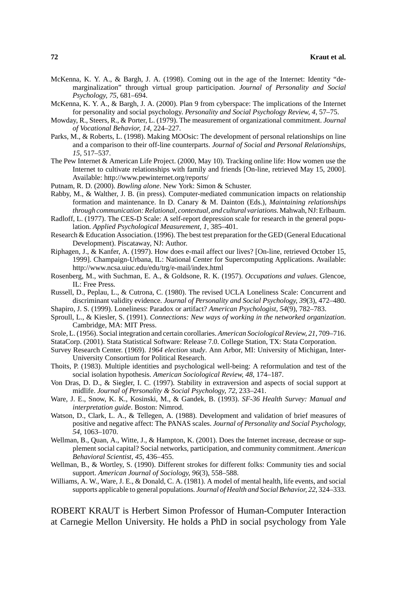- McKenna, K. Y. A., & Bargh, J. A. (1998). Coming out in the age of the Internet: Identity "demarginalization" through virtual group participation. *Journal of Personality and Social Psychology, 75*, 681–694.
- McKenna, K. Y. A., & Bargh, J. A. (2000). Plan 9 from cyberspace: The implications of the Internet for personality and social psychology. *Personality and Social Psychology Review, 4*, 57–75.
- Mowday, R., Steers, R., & Porter, L. (1979). The measurement of organizational commitment. *Journal of Vocational Behavior, 14*, 224–227.
- Parks, M., & Roberts, L. (1998). Making MOOsic: The development of personal relationships on line and a comparison to their off-line counterparts. *Journal of Social and Personal Relationships, 15*, 517–537.
- The Pew Internet & American Life Project. (2000, May 10). Tracking online life: How women use the Internet to cultivate relationships with family and friends [On-line, retrieved May 15, 2000]. Available: http://www.pewinternet.org/reports/
- Putnam, R. D. (2000). *Bowling alone*. New York: Simon & Schuster.
- Rabby, M., & Walther, J. B. (in press). Computer-mediated communication impacts on relationship formation and maintenance. In D. Canary & M. Dainton (Eds.), *Maintaining relationships through communication: Relational, contextual, and cultural variations.*Mahwah, NJ: Erlbaum.
- Radloff, L. (1977). The CES-D Scale: A self-report depression scale for research in the general population. *Applied Psychological Measurement, 1*, 385–401.
- Research & Education Association. (1996). The best test preparation for the GED (General Educational Development). Piscataway, NJ: Author.
- Riphagen, J., & Kanfer, A. (1997). How does e-mail affect our lives? [On-line, retrieved October 15, 1999]. Champaign-Urbana, IL: National Center for Supercomputing Applications. Available: http://www.ncsa.uiuc.edu/edu/trg/e-mail/index.html
- Rosenberg, M., with Suchman, E. A., & Goldsone, R. K. (1957). *Occupations and values*. Glencoe, IL: Free Press.
- Russell, D., Peplau, L., & Cutrona, C. (1980). The revised UCLA Loneliness Scale: Concurrent and discriminant validity evidence. *Journal of Personality and Social Psychology, 39*(3), 472–480.
- Shapiro, J. S. (1999). Loneliness: Paradox or artifact? *American Psychologist, 54*(9), 782–783.
- Sproull, L., & Kiesler, S. (1991). *Connections: New ways of working in the networked organization*. Cambridge, MA: MIT Press.
- Srole, L. (1956). Social integration and certain corollaries. *American Sociological Review, 21*, 709–716.

StataCorp. (2001). Stata Statistical Software: Release 7.0. College Station, TX: Stata Corporation.

- Survey Research Center. (1969). *1964 election study*. Ann Arbor, MI: University of Michigan, Inter-University Consortium for Political Research.
- Thoits, P. (1983). Multiple identities and psychological well-being: A reformulation and test of the social isolation hypothesis. *American Sociological Review, 48*, 174–187.
- Von Dras, D. D., & Siegler, I. C. (1997). Stability in extraversion and aspects of social support at midlife. *Journal of Personality & Social Psychology, 72*, 233–241.
- Ware, J. E., Snow, K. K., Kosinski, M., & Gandek, B. (1993). *SF-36 Health Survey: Manual and interpretation guide*. Boston: Nimrod.
- Watson, D., Clark, L. A., & Tellegen, A. (1988). Development and validation of brief measures of positive and negative affect: The PANAS scales. *Journal of Personality and Social Psychology, 54*, 1063–1070.
- Wellman, B., Quan, A., Witte, J., & Hampton, K. (2001). Does the Internet increase, decrease or supplement social capital? Social networks, participation, and community commitment. *American Behavioral Scientist, 45*, 436–455.
- Wellman, B., & Wortley, S. (1990). Different strokes for different folks: Community ties and social support. *American Journal of Sociology, 96*(3), 558–588.
- Williams, A. W., Ware, J. E., & Donald, C. A. (1981). A model of mental health, life events, and social supports applicable to general populations. *Journal of Health and Social Behavior, 22*, 324–333.

ROBERT KRAUT is Herbert Simon Professor of Human-Computer Interaction at Carnegie Mellon University. He holds a PhD in social psychology from Yale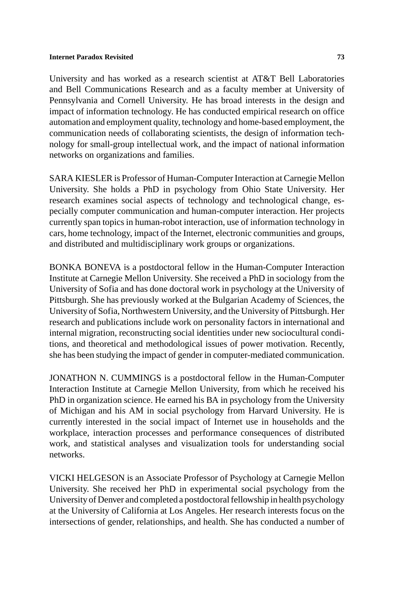University and has worked as a research scientist at AT&T Bell Laboratories and Bell Communications Research and as a faculty member at University of Pennsylvania and Cornell University. He has broad interests in the design and impact of information technology. He has conducted empirical research on office automation and employment quality, technology and home-based employment, the communication needs of collaborating scientists, the design of information technology for small-group intellectual work, and the impact of national information networks on organizations and families.

SARA KIESLER is Professor of Human-Computer Interaction at Carnegie Mellon University. She holds a PhD in psychology from Ohio State University. Her research examines social aspects of technology and technological change, especially computer communication and human-computer interaction. Her projects currently span topics in human-robot interaction, use of information technology in cars, home technology, impact of the Internet, electronic communities and groups, and distributed and multidisciplinary work groups or organizations.

BONKA BONEVA is a postdoctoral fellow in the Human-Computer Interaction Institute at Carnegie Mellon University. She received a PhD in sociology from the University of Sofia and has done doctoral work in psychology at the University of Pittsburgh. She has previously worked at the Bulgarian Academy of Sciences, the University of Sofia, Northwestern University, and the University of Pittsburgh. Her research and publications include work on personality factors in international and internal migration, reconstructing social identities under new sociocultural conditions, and theoretical and methodological issues of power motivation. Recently, she has been studying the impact of gender in computer-mediated communication.

JONATHON N. CUMMINGS is a postdoctoral fellow in the Human-Computer Interaction Institute at Carnegie Mellon University, from which he received his PhD in organization science. He earned his BA in psychology from the University of Michigan and his AM in social psychology from Harvard University. He is currently interested in the social impact of Internet use in households and the workplace, interaction processes and performance consequences of distributed work, and statistical analyses and visualization tools for understanding social networks.

VICKI HELGESON is an Associate Professor of Psychology at Carnegie Mellon University. She received her PhD in experimental social psychology from the University of Denver and completed a postdoctoral fellowship in health psychology at the University of California at Los Angeles. Her research interests focus on the intersections of gender, relationships, and health. She has conducted a number of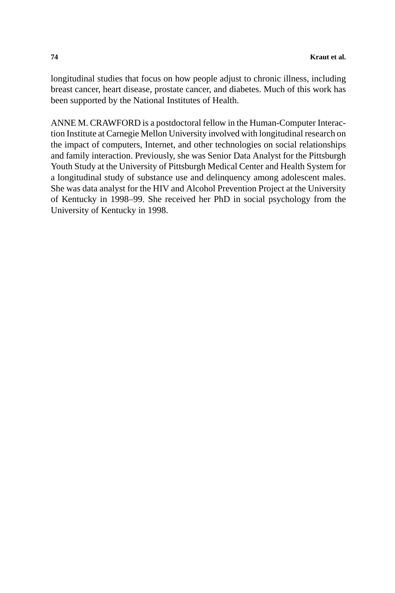longitudinal studies that focus on how people adjust to chronic illness, including breast cancer, heart disease, prostate cancer, and diabetes. Much of this work has been supported by the National Institutes of Health.

ANNE M. CRAWFORD is a postdoctoral fellow in the Human-Computer Interaction Institute at Carnegie Mellon University involved with longitudinal research on the impact of computers, Internet, and other technologies on social relationships and family interaction. Previously, she was Senior Data Analyst for the Pittsburgh Youth Study at the University of Pittsburgh Medical Center and Health System for a longitudinal study of substance use and delinquency among adolescent males. She was data analyst for the HIV and Alcohol Prevention Project at the University of Kentucky in 1998–99. She received her PhD in social psychology from the University of Kentucky in 1998.